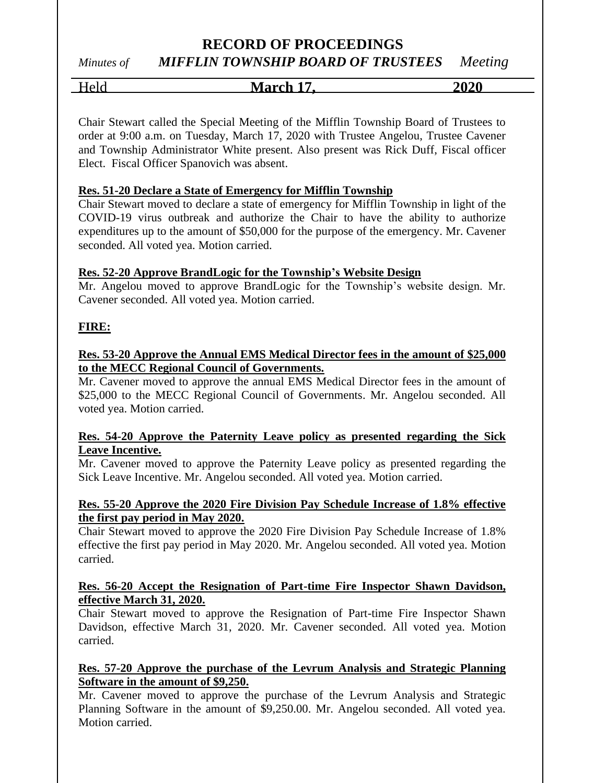# **RECORD OF PROCEEDINGS**

*Minutes of MIFFLIN TOWNSHIP BOARD OF TRUSTEES Meeting*

Held **March 17, 2020**

Chair Stewart called the Special Meeting of the Mifflin Township Board of Trustees to order at 9:00 a.m. on Tuesday, March 17, 2020 with Trustee Angelou, Trustee Cavener and Township Administrator White present. Also present was Rick Duff, Fiscal officer Elect. Fiscal Officer Spanovich was absent.

### **Res. 51-20 Declare a State of Emergency for Mifflin Township**

Chair Stewart moved to declare a state of emergency for Mifflin Township in light of the COVID-19 virus outbreak and authorize the Chair to have the ability to authorize expenditures up to the amount of \$50,000 for the purpose of the emergency. Mr. Cavener seconded. All voted yea. Motion carried.

### **Res. 52-20 Approve BrandLogic for the Township's Website Design**

Mr. Angelou moved to approve BrandLogic for the Township's website design. Mr. Cavener seconded. All voted yea. Motion carried.

# **FIRE:**

# **Res. 53-20 Approve the Annual EMS Medical Director fees in the amount of \$25,000 to the MECC Regional Council of Governments.**

Mr. Cavener moved to approve the annual EMS Medical Director fees in the amount of \$25,000 to the MECC Regional Council of Governments. Mr. Angelou seconded. All voted yea. Motion carried.

#### **Res. 54-20 Approve the Paternity Leave policy as presented regarding the Sick Leave Incentive.**

Mr. Cavener moved to approve the Paternity Leave policy as presented regarding the Sick Leave Incentive. Mr. Angelou seconded. All voted yea. Motion carried.

# **Res. 55-20 Approve the 2020 Fire Division Pay Schedule Increase of 1.8% effective the first pay period in May 2020.**

Chair Stewart moved to approve the 2020 Fire Division Pay Schedule Increase of 1.8% effective the first pay period in May 2020. Mr. Angelou seconded. All voted yea. Motion carried.

#### **Res. 56-20 Accept the Resignation of Part-time Fire Inspector Shawn Davidson, effective March 31, 2020.**

Chair Stewart moved to approve the Resignation of Part-time Fire Inspector Shawn Davidson, effective March 31, 2020. Mr. Cavener seconded. All voted yea. Motion carried.

### **Res. 57-20 Approve the purchase of the Levrum Analysis and Strategic Planning Software in the amount of \$9,250.**

Mr. Cavener moved to approve the purchase of the Levrum Analysis and Strategic Planning Software in the amount of \$9,250.00. Mr. Angelou seconded. All voted yea. Motion carried.